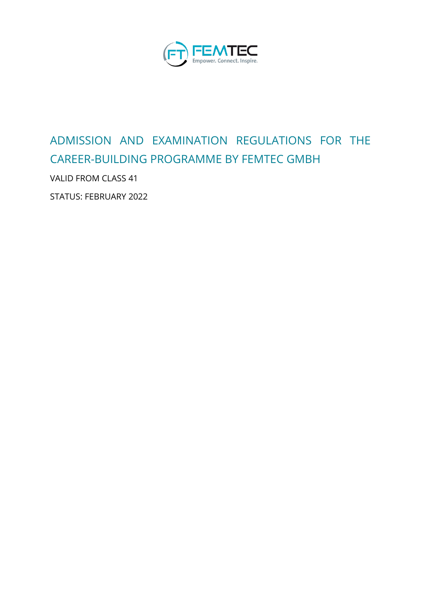

# ADMISSION AND EXAMINATION REGULATIONS FOR THE CAREER-BUILDING PROGRAMME BY FEMTEC GMBH

VALID FROM CLASS 41

STATUS: FEBRUARY 2022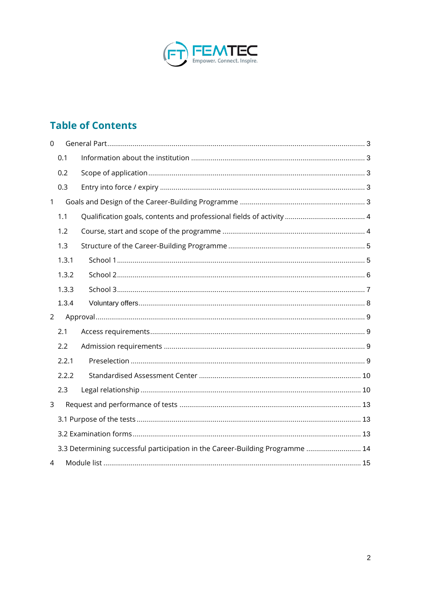

## **Table of Contents**

| $\mathbf 0$    |       |                                                                               |  |  |  |  |
|----------------|-------|-------------------------------------------------------------------------------|--|--|--|--|
|                | 0.1   |                                                                               |  |  |  |  |
|                | 0.2   |                                                                               |  |  |  |  |
|                | 0.3   |                                                                               |  |  |  |  |
| $\mathbf{1}$   |       |                                                                               |  |  |  |  |
|                | 1.1   |                                                                               |  |  |  |  |
|                | 1.2   |                                                                               |  |  |  |  |
|                | 1.3   |                                                                               |  |  |  |  |
|                | 1.3.1 |                                                                               |  |  |  |  |
|                | 1.3.2 |                                                                               |  |  |  |  |
|                | 1.3.3 |                                                                               |  |  |  |  |
|                | 1.3.4 |                                                                               |  |  |  |  |
| $\overline{2}$ |       |                                                                               |  |  |  |  |
|                | 2.1   |                                                                               |  |  |  |  |
|                | 2.2   |                                                                               |  |  |  |  |
|                | 2.2.1 |                                                                               |  |  |  |  |
|                | 2.2.2 |                                                                               |  |  |  |  |
|                | 2.3   |                                                                               |  |  |  |  |
| 3              |       |                                                                               |  |  |  |  |
|                |       |                                                                               |  |  |  |  |
|                |       |                                                                               |  |  |  |  |
|                |       | 3.3 Determining successful participation in the Career-Building Programme  14 |  |  |  |  |
| 4              |       |                                                                               |  |  |  |  |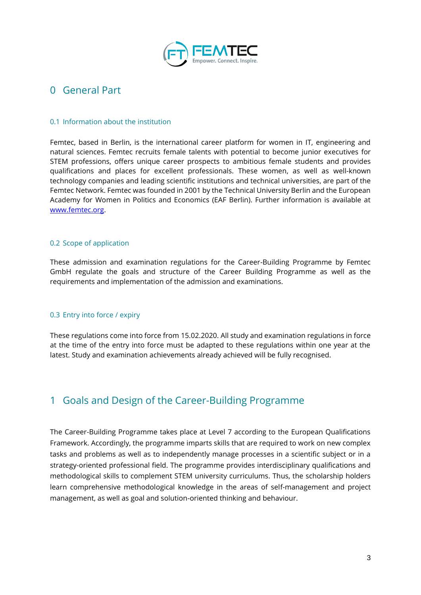

### <span id="page-2-0"></span>0 General Part

#### <span id="page-2-1"></span>0.1 Information about the institution

Femtec, based in Berlin, is the international career platform for women in IT, engineering and natural sciences. Femtec recruits female talents with potential to become junior executives for STEM professions, offers unique career prospects to ambitious female students and provides qualifications and places for excellent professionals. These women, as well as well-known technology companies and leading scientific institutions and technical universities, are part of the Femtec Network. Femtec was founded in 2001 by the Technical University Berlin and the European Academy for Women in Politics and Economics (EAF Berlin). Further information is available at [www.femtec.org.](http://www.femtec.org/) 

#### <span id="page-2-2"></span>0.2 Scope of application

These admission and examination regulations for the Career-Building Programme by Femtec GmbH regulate the goals and structure of the Career Building Programme as well as the requirements and implementation of the admission and examinations.

#### <span id="page-2-3"></span>0.3 Entry into force / expiry

These regulations come into force from 15.02.2020. All study and examination regulations in force at the time of the entry into force must be adapted to these regulations within one year at the latest. Study and examination achievements already achieved will be fully recognised.

### <span id="page-2-4"></span>1 Goals and Design of the Career-Building Programme

The Career-Building Programme takes place at Level 7 according to the European Qualifications Framework. Accordingly, the programme imparts skills that are required to work on new complex tasks and problems as well as to independently manage processes in a scientific subject or in a strategy-oriented professional field. The programme provides interdisciplinary qualifications and methodological skills to complement STEM university curriculums. Thus, the scholarship holders learn comprehensive methodological knowledge in the areas of self-management and project management, as well as goal and solution-oriented thinking and behaviour.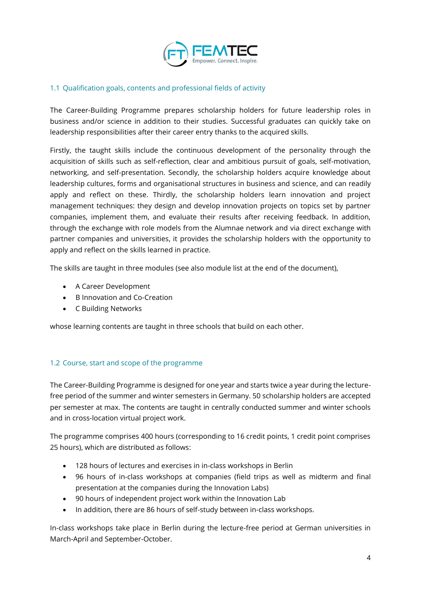

#### <span id="page-3-0"></span>1.1 Qualification goals, contents and professional fields of activity

The Career-Building Programme prepares scholarship holders for future leadership roles in business and/or science in addition to their studies. Successful graduates can quickly take on leadership responsibilities after their career entry thanks to the acquired skills.

Firstly, the taught skills include the continuous development of the personality through the acquisition of skills such as self-reflection, clear and ambitious pursuit of goals, self-motivation, networking, and self-presentation. Secondly, the scholarship holders acquire knowledge about leadership cultures, forms and organisational structures in business and science, and can readily apply and reflect on these. Thirdly, the scholarship holders learn innovation and project management techniques: they design and develop innovation projects on topics set by partner companies, implement them, and evaluate their results after receiving feedback. In addition, through the exchange with role models from the Alumnae network and via direct exchange with partner companies and universities, it provides the scholarship holders with the opportunity to apply and reflect on the skills learned in practice.

The skills are taught in three modules (see also module list at the end of the document),

- A Career Development
- B Innovation and Co-Creation
- C Building Networks

whose learning contents are taught in three schools that build on each other.

#### <span id="page-3-1"></span>1.2 Course, start and scope of the programme

The Career-Building Programme is designed for one year and starts twice a year during the lecturefree period of the summer and winter semesters in Germany. 50 scholarship holders are accepted per semester at max. The contents are taught in centrally conducted summer and winter schools and in cross-location virtual project work.

The programme comprises 400 hours (corresponding to 16 credit points, 1 credit point comprises 25 hours), which are distributed as follows:

- 128 hours of lectures and exercises in in-class workshops in Berlin
- 96 hours of in-class workshops at companies (field trips as well as midterm and final presentation at the companies during the Innovation Labs)
- 90 hours of independent project work within the Innovation Lab
- In addition, there are 86 hours of self-study between in-class workshops.

In-class workshops take place in Berlin during the lecture-free period at German universities in March-April and September-October.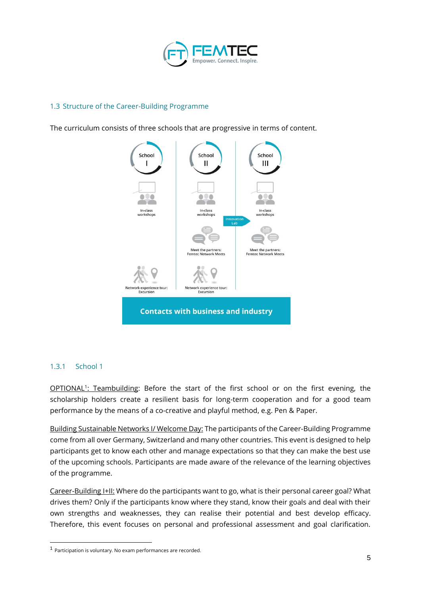

#### <span id="page-4-0"></span>1.3 Structure of the Career-Building Programme

The curriculum consists of three schools that are progressive in terms of content.



#### <span id="page-4-1"></span>1.3.1 School 1

OPTIONAL<sup>1</sup>: Teambuilding: Before the start of the first school or on the first evening, the scholarship holders create a resilient basis for long-term cooperation and for a good team performance by the means of a co-creative and playful method, e.g. Pen & Paper.

Building Sustainable Networks I/ Welcome Day: The participants of the Career-Building Programme come from all over Germany, Switzerland and many other countries. This event is designed to help participants get to know each other and manage expectations so that they can make the best use of the upcoming schools. Participants are made aware of the relevance of the learning objectives of the programme.

Career-Building I+II: Where do the participants want to go, what is their personal career goal? What drives them? Only if the participants know where they stand, know their goals and deal with their own strengths and weaknesses, they can realise their potential and best develop efficacy. Therefore, this event focuses on personal and professional assessment and goal clarification.

<sup>1</sup> Participation is voluntary. No exam performances are recorded.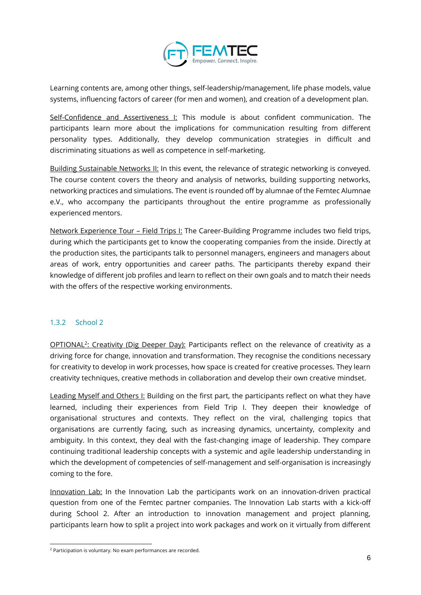

Learning contents are, among other things, self-leadership/management, life phase models, value systems, influencing factors of career (for men and women), and creation of a development plan.

Self-Confidence and Assertiveness I: This module is about confident communication. The participants learn more about the implications for communication resulting from different personality types. Additionally, they develop communication strategies in difficult and discriminating situations as well as competence in self-marketing.

Building Sustainable Networks II: In this event, the relevance of strategic networking is conveyed. The course content covers the theory and analysis of networks, building supporting networks, networking practices and simulations. The event is rounded off by alumnae of the Femtec Alumnae e.V., who accompany the participants throughout the entire programme as professionally experienced mentors.

Network Experience Tour – Field Trips I: The Career-Building Programme includes two field trips, during which the participants get to know the cooperating companies from the inside. Directly at the production sites, the participants talk to personnel managers, engineers and managers about areas of work, entry opportunities and career paths. The participants thereby expand their knowledge of different job profiles and learn to reflect on their own goals and to match their needs with the offers of the respective working environments.

#### <span id="page-5-0"></span>1.3.2 School 2

OPTIONAL<sup>2</sup>: Creativity (Dig Deeper Day): Participants reflect on the relevance of creativity as a driving force for change, innovation and transformation. They recognise the conditions necessary for creativity to develop in work processes, how space is created for creative processes. They learn creativity techniques, creative methods in collaboration and develop their own creative mindset.

Leading Myself and Others I: Building on the first part, the participants reflect on what they have learned, including their experiences from Field Trip I. They deepen their knowledge of organisational structures and contexts. They reflect on the viral, challenging topics that organisations are currently facing, such as increasing dynamics, uncertainty, complexity and ambiguity. In this context, they deal with the fast-changing image of leadership. They compare continuing traditional leadership concepts with a systemic and agile leadership understanding in which the development of competencies of self-management and self-organisation is increasingly coming to the fore.

Innovation Lab: In the Innovation Lab the participants work on an innovation-driven practical question from one of the Femtec partner companies. The Innovation Lab starts with a kick-off during School 2. After an introduction to innovation management and project planning, participants learn how to split a project into work packages and work on it virtually from different

<sup>2</sup> Participation is voluntary. No exam performances are recorded.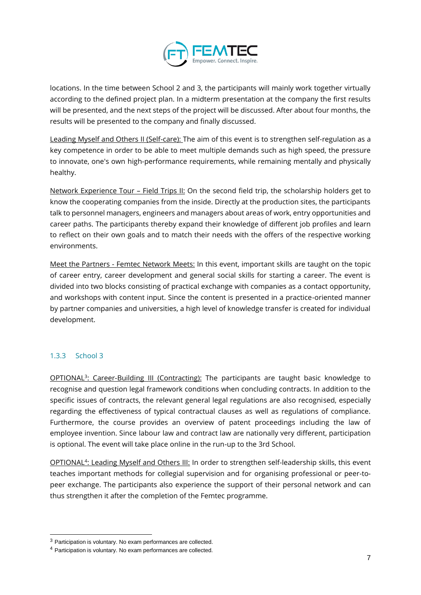

locations. In the time between School 2 and 3, the participants will mainly work together virtually according to the defined project plan. In a midterm presentation at the company the first results will be presented, and the next steps of the project will be discussed. After about four months, the results will be presented to the company and finally discussed.

Leading Myself and Others II (Self-care): The aim of this event is to strengthen self-regulation as a key competence in order to be able to meet multiple demands such as high speed, the pressure to innovate, one's own high-performance requirements, while remaining mentally and physically healthy.

Network Experience Tour - Field Trips II: On the second field trip, the scholarship holders get to know the cooperating companies from the inside. Directly at the production sites, the participants talk to personnel managers, engineers and managers about areas of work, entry opportunities and career paths. The participants thereby expand their knowledge of different job profiles and learn to reflect on their own goals and to match their needs with the offers of the respective working environments.

Meet the Partners - Femtec Network Meets: In this event, important skills are taught on the topic of career entry, career development and general social skills for starting a career. The event is divided into two blocks consisting of practical exchange with companies as a contact opportunity, and workshops with content input. Since the content is presented in a practice-oriented manner by partner companies and universities, a high level of knowledge transfer is created for individual development.

#### <span id="page-6-0"></span>1.3.3 School 3

OPTIONAL<sup>3</sup>: Career-Building III (Contracting): The participants are taught basic knowledge to recognise and question legal framework conditions when concluding contracts. In addition to the specific issues of contracts, the relevant general legal regulations are also recognised, especially regarding the effectiveness of typical contractual clauses as well as regulations of compliance. Furthermore, the course provides an overview of patent proceedings including the law of employee invention. Since labour law and contract law are nationally very different, participation is optional. The event will take place online in the run-up to the 3rd School.

OPTIONAL<sup>4</sup>: Leading Myself and Others III: In order to strengthen self-leadership skills, this event teaches important methods for collegial supervision and for organising professional or peer-topeer exchange. The participants also experience the support of their personal network and can thus strengthen it after the completion of the Femtec programme.

<sup>3</sup> Participation is voluntary. No exam performances are collected.

<sup>4</sup> Participation is voluntary. No exam performances are collected.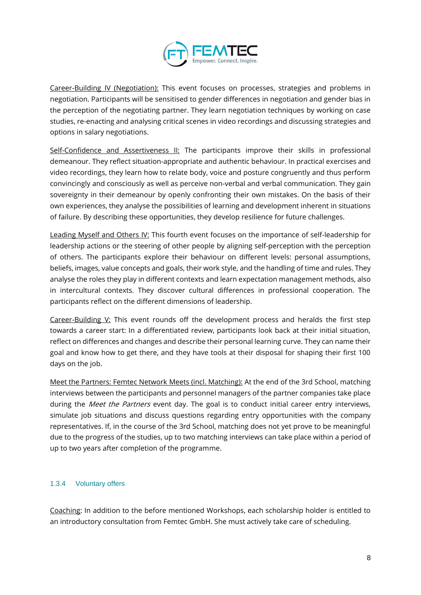

Career-Building IV (Negotiation): This event focuses on processes, strategies and problems in negotiation. Participants will be sensitised to gender differences in negotiation and gender bias in the perception of the negotiating partner. They learn negotiation techniques by working on case studies, re-enacting and analysing critical scenes in video recordings and discussing strategies and options in salary negotiations.

Self-Confidence and Assertiveness II: The participants improve their skills in professional demeanour. They reflect situation-appropriate and authentic behaviour. In practical exercises and video recordings, they learn how to relate body, voice and posture congruently and thus perform convincingly and consciously as well as perceive non-verbal and verbal communication. They gain sovereignty in their demeanour by openly confronting their own mistakes. On the basis of their own experiences, they analyse the possibilities of learning and development inherent in situations of failure. By describing these opportunities, they develop resilience for future challenges.

Leading Myself and Others IV: This fourth event focuses on the importance of self-leadership for leadership actions or the steering of other people by aligning self-perception with the perception of others. The participants explore their behaviour on different levels: personal assumptions, beliefs, images, value concepts and goals, their work style, and the handling of time and rules. They analyse the roles they play in different contexts and learn expectation management methods, also in intercultural contexts. They discover cultural differences in professional cooperation. The participants reflect on the different dimensions of leadership.

Career-Building V: This event rounds off the development process and heralds the first step towards a career start: In a differentiated review, participants look back at their initial situation, reflect on differences and changes and describe their personal learning curve. They can name their goal and know how to get there, and they have tools at their disposal for shaping their first 100 days on the job.

Meet the Partners: Femtec Network Meets (incl. Matching): At the end of the 3rd School, matching interviews between the participants and personnel managers of the partner companies take place during the Meet the Partners event day. The goal is to conduct initial career entry interviews, simulate job situations and discuss questions regarding entry opportunities with the company representatives. If, in the course of the 3rd School, matching does not yet prove to be meaningful due to the progress of the studies, up to two matching interviews can take place within a period of up to two years after completion of the programme.

#### <span id="page-7-0"></span>1.3.4 Voluntary offers

Coaching: In addition to the before mentioned Workshops, each scholarship holder is entitled to an introductory consultation from Femtec GmbH. She must actively take care of scheduling.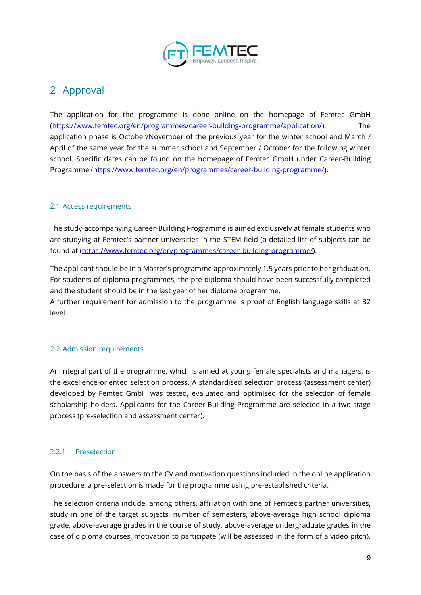

### <span id="page-8-0"></span>2 Approval

The application for the programme is done online on the homepage of Femtec GmbH [\(https://www.femtec.org/en/programmes/career-building-programme/application/\)](https://www.femtec.org/en/programmes/career-building-programme/application/). The application phase is October/November of the previous year for the winter school and March / April of the same year for the summer school and September / October for the following winter school. Specific dates can be found on the homepage of Femtec GmbH under Career-Building Programme [\(https://www.femtec.org/en/programmes/career-building-programme/](https://www.femtec.org/en/programmes/career-building-programme/)).

#### <span id="page-8-1"></span>2.1 Access requirements

The study-accompanying Career-Building Programme is aimed exclusively at female students who are studying at Femtec's partner universities in the STEM field (a detailed list of subjects can be found at [\(https://www.femtec.org/en/programmes/career-building-programme/\)](https://www.femtec.org/en/programmes/career-building-programme/).

The applicant should be in a Master's programme approximately 1.5 years prior to her graduation. For students of diploma programmes, the pre-diploma should have been successfully completed and the student should be in the last year of her diploma programme.

A further requirement for admission to the programme is proof of English language skills at B2 level.

#### <span id="page-8-2"></span>2.2 Admission requirements

An integral part of the programme, which is aimed at young female specialists and managers, is the excellence-oriented selection process. A standardised selection process (assessment center) developed by Femtec GmbH was tested, evaluated and optimised for the selection of female scholarship holders. Applicants for the Career-Building Programme are selected in a two-stage process (pre-selection and assessment center).

#### <span id="page-8-3"></span>2.2.1 Preselection

On the basis of the answers to the CV and motivation questions included in the online application procedure, a pre-selection is made for the programme using pre-established criteria.

The selection criteria include, among others, affiliation with one of Femtec's partner universities, study in one of the target subjects, number of semesters, above-average high school diploma grade, above-average grades in the course of study, above-average undergraduate grades in the case of diploma courses, motivation to participate (will be assessed in the form of a video pitch),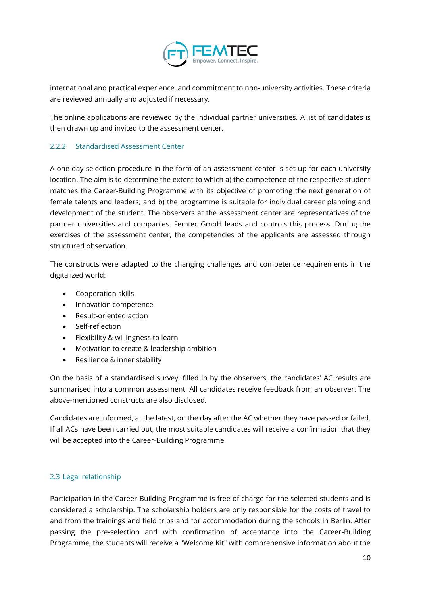

international and practical experience, and commitment to non-university activities. These criteria are reviewed annually and adjusted if necessary.

The online applications are reviewed by the individual partner universities. A list of candidates is then drawn up and invited to the assessment center.

#### <span id="page-9-0"></span>2.2.2 Standardised Assessment Center

A one-day selection procedure in the form of an assessment center is set up for each university location. The aim is to determine the extent to which a) the competence of the respective student matches the Career-Building Programme with its objective of promoting the next generation of female talents and leaders; and b) the programme is suitable for individual career planning and development of the student. The observers at the assessment center are representatives of the partner universities and companies. Femtec GmbH leads and controls this process. During the exercises of the assessment center, the competencies of the applicants are assessed through structured observation.

The constructs were adapted to the changing challenges and competence requirements in the digitalized world:

- Cooperation skills
- Innovation competence
- Result-oriented action
- Self-reflection
- Flexibility & willingness to learn
- Motivation to create & leadership ambition
- Resilience & inner stability

On the basis of a standardised survey, filled in by the observers, the candidates' AC results are summarised into a common assessment. All candidates receive feedback from an observer. The above-mentioned constructs are also disclosed.

Candidates are informed, at the latest, on the day after the AC whether they have passed or failed. If all ACs have been carried out, the most suitable candidates will receive a confirmation that they will be accepted into the Career-Building Programme.

#### <span id="page-9-1"></span>2.3 Legal relationship

Participation in the Career-Building Programme is free of charge for the selected students and is considered a scholarship. The scholarship holders are only responsible for the costs of travel to and from the trainings and field trips and for accommodation during the schools in Berlin. After passing the pre-selection and with confirmation of acceptance into the Career-Building Programme, the students will receive a "Welcome Kit" with comprehensive information about the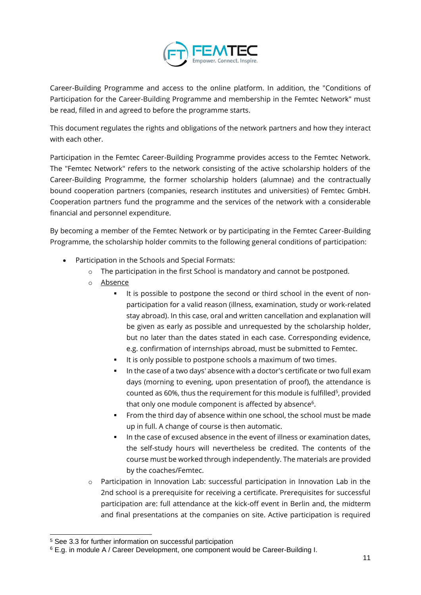

Career-Building Programme and access to the online platform. In addition, the "Conditions of Participation for the Career-Building Programme and membership in the Femtec Network" must be read, filled in and agreed to before the programme starts.

This document regulates the rights and obligations of the network partners and how they interact with each other.

Participation in the Femtec Career-Building Programme provides access to the Femtec Network. The "Femtec Network" refers to the network consisting of the active scholarship holders of the Career-Building Programme, the former scholarship holders (alumnae) and the contractually bound cooperation partners (companies, research institutes and universities) of Femtec GmbH. Cooperation partners fund the programme and the services of the network with a considerable financial and personnel expenditure.

By becoming a member of the Femtec Network or by participating in the Femtec Career-Building Programme, the scholarship holder commits to the following general conditions of participation:

- Participation in the Schools and Special Formats:
	- o The participation in the first School is mandatory and cannot be postponed.
	- o Absence
		- It is possible to postpone the second or third school in the event of nonparticipation for a valid reason (illness, examination, study or work-related stay abroad). In this case, oral and written cancellation and explanation will be given as early as possible and unrequested by the scholarship holder, but no later than the dates stated in each case. Corresponding evidence, e.g. confirmation of internships abroad, must be submitted to Femtec.
		- It is only possible to postpone schools a maximum of two times.
		- In the case of a two days' absence with a doctor's certificate or two full exam days (morning to evening, upon presentation of proof), the attendance is counted as 60%, thus the requirement for this module is fulfilled<sup>5</sup>, provided that only one module component is affected by absence<sup>6</sup>.
		- From the third day of absence within one school, the school must be made up in full. A change of course is then automatic.
		- **•** In the case of excused absence in the event of illness or examination dates, the self-study hours will nevertheless be credited. The contents of the course must be worked through independently. The materials are provided by the coaches/Femtec.
	- $\circ$  Participation in Innovation Lab: successful participation in Innovation Lab in the 2nd school is a prerequisite for receiving a certificate. Prerequisites for successful participation are: full attendance at the kick-off event in Berlin and, the midterm and final presentations at the companies on site. Active participation is required

<sup>5</sup> See 3.3 for further information on successful participation

<sup>6</sup> E.g. in module A / Career Development, one component would be Career-Building I.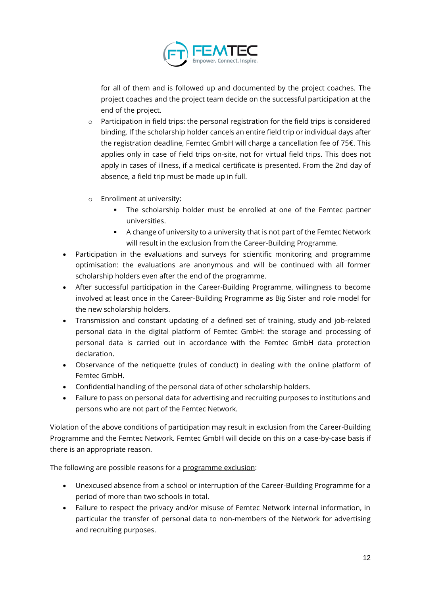

for all of them and is followed up and documented by the project coaches. The project coaches and the project team decide on the successful participation at the end of the project.

- o Participation in field trips: the personal registration for the field trips is considered binding. If the scholarship holder cancels an entire field trip or individual days after the registration deadline, Femtec GmbH will charge a cancellation fee of 75€. This applies only in case of field trips on-site, not for virtual field trips. This does not apply in cases of illness, if a medical certificate is presented. From the 2nd day of absence, a field trip must be made up in full.
- o Enrollment at university:
	- **.** The scholarship holder must be enrolled at one of the Femtec partner universities.
	- A change of university to a university that is not part of the Femtec Network will result in the exclusion from the Career-Building Programme.
- Participation in the evaluations and surveys for scientific monitoring and programme optimisation: the evaluations are anonymous and will be continued with all former scholarship holders even after the end of the programme.
- After successful participation in the Career-Building Programme, willingness to become involved at least once in the Career-Building Programme as Big Sister and role model for the new scholarship holders.
- Transmission and constant updating of a defined set of training, study and job-related personal data in the digital platform of Femtec GmbH: the storage and processing of personal data is carried out in accordance with the Femtec GmbH data protection declaration.
- Observance of the netiquette (rules of conduct) in dealing with the online platform of Femtec GmbH.
- Confidential handling of the personal data of other scholarship holders.
- Failure to pass on personal data for advertising and recruiting purposes to institutions and persons who are not part of the Femtec Network.

Violation of the above conditions of participation may result in exclusion from the Career-Building Programme and the Femtec Network. Femtec GmbH will decide on this on a case-by-case basis if there is an appropriate reason.

The following are possible reasons for a programme exclusion:

- Unexcused absence from a school or interruption of the Career-Building Programme for a period of more than two schools in total.
- Failure to respect the privacy and/or misuse of Femtec Network internal information, in particular the transfer of personal data to non-members of the Network for advertising and recruiting purposes.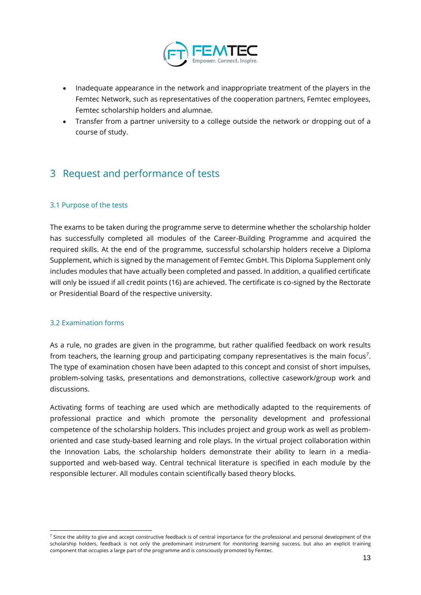

- Inadequate appearance in the network and inappropriate treatment of the players in the Femtec Network, such as representatives of the cooperation partners, Femtec employees, Femtec scholarship holders and alumnae.
- Transfer from a partner university to a college outside the network or dropping out of a course of study.

### <span id="page-12-0"></span>3 Request and performance of tests

#### <span id="page-12-1"></span>3.1 Purpose of the tests

The exams to be taken during the programme serve to determine whether the scholarship holder has successfully completed all modules of the Career-Building Programme and acquired the required skills. At the end of the programme, successful scholarship holders receive a Diploma Supplement, which is signed by the management of Femtec GmbH. This Diploma Supplement only includes modules that have actually been completed and passed. In addition, a qualified certificate will only be issued if all credit points (16) are achieved. The certificate is co-signed by the Rectorate or Presidential Board of the respective university.

#### <span id="page-12-2"></span>3.2 Examination forms

As a rule, no grades are given in the programme, but rather qualified feedback on work results from teachers, the learning group and participating company representatives is the main focus<sup>7</sup>. The type of examination chosen have been adapted to this concept and consist of short impulses, problem-solving tasks, presentations and demonstrations, collective casework/group work and discussions.

Activating forms of teaching are used which are methodically adapted to the requirements of professional practice and which promote the personality development and professional competence of the scholarship holders. This includes project and group work as well as problemoriented and case study-based learning and role plays. In the virtual project collaboration within the Innovation Labs, the scholarship holders demonstrate their ability to learn in a mediasupported and web-based way. Central technical literature is specified in each module by the responsible lecturer. All modules contain scientifically based theory blocks.

<sup>&</sup>lt;sup>7</sup> Since the ability to give and accept constructive feedback is of central importance for the professional and personal development of the scholarship holders, feedback is not only the predominant instrument for monitoring learning success, but also an explicit training component that occupies a large part of the programme and is consciously promoted by Femtec.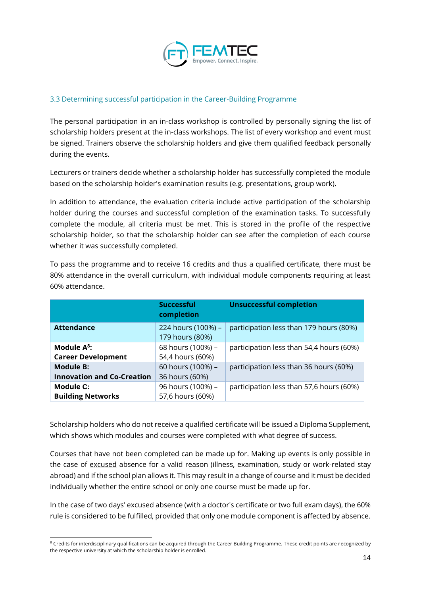

#### <span id="page-13-0"></span>3.3 Determining successful participation in the Career-Building Programme

The personal participation in an in-class workshop is controlled by personally signing the list of scholarship holders present at the in-class workshops. The list of every workshop and event must be signed. Trainers observe the scholarship holders and give them qualified feedback personally during the events.

Lecturers or trainers decide whether a scholarship holder has successfully completed the module based on the scholarship holder's examination results (e.g. presentations, group work).

In addition to attendance, the evaluation criteria include active participation of the scholarship holder during the courses and successful completion of the examination tasks. To successfully complete the module, all criteria must be met. This is stored in the profile of the respective scholarship holder, so that the scholarship holder can see after the completion of each course whether it was successfully completed.

| To pass the programme and to receive 16 credits and thus a qualified certificate, there must be |
|-------------------------------------------------------------------------------------------------|
| 80% attendance in the overall curriculum, with individual module components requiring at least  |
| 60% attendance.                                                                                 |
|                                                                                                 |

|                                   | <b>Successful</b><br>completion       | <b>Unsuccessful completion</b>           |
|-----------------------------------|---------------------------------------|------------------------------------------|
| <b>Attendance</b>                 | 224 hours (100%) -<br>179 hours (80%) | participation less than 179 hours (80%)  |
| Module $A^8$ :                    | 68 hours (100%) -                     | participation less than 54,4 hours (60%) |
| <b>Career Development</b>         | 54,4 hours (60%)                      |                                          |
| <b>Module B:</b>                  | 60 hours (100%) -                     | participation less than 36 hours (60%)   |
| <b>Innovation and Co-Creation</b> | 36 hours (60%)                        |                                          |
| Module C:                         | 96 hours (100%) -                     | participation less than 57,6 hours (60%) |
| <b>Building Networks</b>          | 57,6 hours (60%)                      |                                          |

Scholarship holders who do not receive a qualified certificate will be issued a Diploma Supplement, which shows which modules and courses were completed with what degree of success.

Courses that have not been completed can be made up for. Making up events is only possible in the case of excused absence for a valid reason (illness, examination, study or work-related stay abroad) and if the school plan allows it. This may result in a change of course and it must be decided individually whether the entire school or only one course must be made up for.

In the case of two days' excused absence (with a doctor's certificate or two full exam days), the 60% rule is considered to be fulfilled, provided that only one module component is affected by absence.

<sup>&</sup>lt;sup>8</sup> Credits for interdisciplinary qualifications can be acquired through the Career Building Programme. These credit points are recognized by the respective university at which the scholarship holder is enrolled.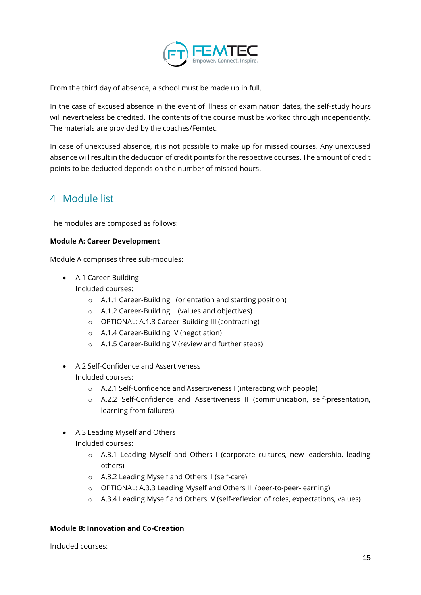

From the third day of absence, a school must be made up in full.

In the case of excused absence in the event of illness or examination dates, the self-study hours will nevertheless be credited. The contents of the course must be worked through independently. The materials are provided by the coaches/Femtec.

In case of unexcused absence, it is not possible to make up for missed courses. Any unexcused absence will result in the deduction of credit points for the respective courses. The amount of credit points to be deducted depends on the number of missed hours.

### <span id="page-14-0"></span>4 Module list

The modules are composed as follows:

#### **Module A: Career Development**

Module A comprises three sub-modules:

- A.1 Career-Building Included courses:
	- o A.1.1 Career-Building I (orientation and starting position)
	- o A.1.2 Career-Building II (values and objectives)
	- o OPTIONAL: A.1.3 Career-Building III (contracting)
	- o A.1.4 Career-Building IV (negotiation)
	- o A.1.5 Career-Building V (review and further steps)
- A.2 Self-Confidence and Assertiveness Included courses:
	- o A.2.1 Self-Confidence and Assertiveness I (interacting with people)
	- o A.2.2 Self-Confidence and Assertiveness II (communication, self-presentation, learning from failures)
- A.3 Leading Myself and Others Included courses:
	- o A.3.1 Leading Myself and Others I (corporate cultures, new leadership, leading others)
	- o A.3.2 Leading Myself and Others II (self-care)
	- o OPTIONAL: A.3.3 Leading Myself and Others III (peer-to-peer-learning)
	- o A.3.4 Leading Myself and Others IV (self-reflexion of roles, expectations, values)

#### **Module B: Innovation and Co-Creation**

Included courses: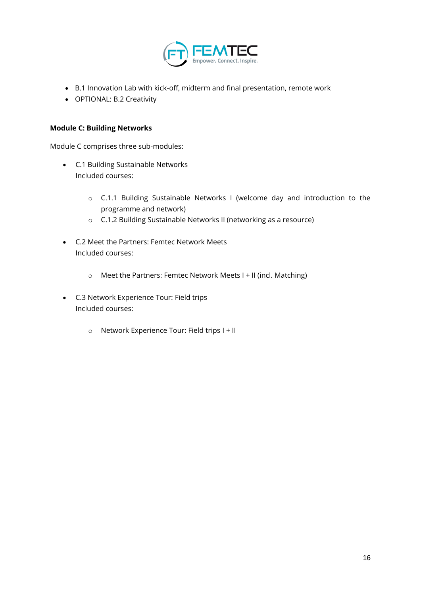

- B.1 Innovation Lab with kick-off, midterm and final presentation, remote work
- OPTIONAL: B.2 Creativity

#### **Module C: Building Networks**

Module C comprises three sub-modules:

- C.1 Building Sustainable Networks Included courses:
	- o C.1.1 Building Sustainable Networks I (welcome day and introduction to the programme and network)
	- o C.1.2 Building Sustainable Networks II (networking as a resource)
- C.2 Meet the Partners: Femtec Network Meets Included courses:
	- o Meet the Partners: Femtec Network Meets I + II (incl. Matching)
- C.3 Network Experience Tour: Field trips Included courses:
	- o Network Experience Tour: Field trips I + II